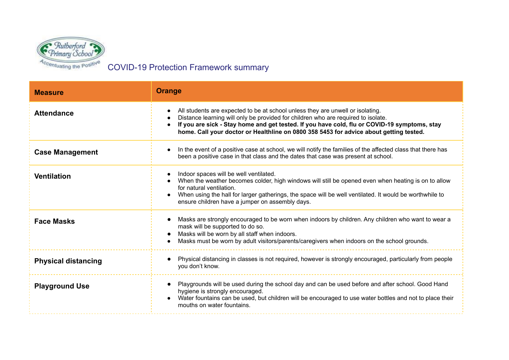

COVID-19 Protection Framework summary

| <b>Measure</b>             | Orange                                                                                                                                                                                                                                                                                                                                                        |
|----------------------------|---------------------------------------------------------------------------------------------------------------------------------------------------------------------------------------------------------------------------------------------------------------------------------------------------------------------------------------------------------------|
| <b>Attendance</b>          | All students are expected to be at school unless they are unwell or isolating.<br>Distance learning will only be provided for children who are required to isolate.<br>If you are sick - Stay home and get tested. If you have cold, flu or COVID-19 symptoms, stay<br>home. Call your doctor or Healthline on 0800 358 5453 for advice about getting tested. |
| <b>Case Management</b>     | In the event of a positive case at school, we will notify the families of the affected class that there has<br>been a positive case in that class and the dates that case was present at school.                                                                                                                                                              |
| <b>Ventilation</b>         | Indoor spaces will be well ventilated.<br>When the weather becomes colder, high windows will still be opened even when heating is on to allow<br>for natural ventilation.<br>When using the hall for larger gatherings, the space will be well ventilated. It would be worthwhile to<br>ensure children have a jumper on assembly days.                       |
| <b>Face Masks</b>          | Masks are strongly encouraged to be worn when indoors by children. Any children who want to wear a<br>mask will be supported to do so.<br>Masks will be worn by all staff when indoors.<br>Masks must be worn by adult visitors/parents/caregivers when indoors on the school grounds.                                                                        |
| <b>Physical distancing</b> | Physical distancing in classes is not required, however is strongly encouraged, particularly from people<br>you don't know.                                                                                                                                                                                                                                   |
| <b>Playground Use</b>      | Playgrounds will be used during the school day and can be used before and after school. Good Hand<br>hygiene is strongly encouraged.<br>Water fountains can be used, but children will be encouraged to use water bottles and not to place their<br>mouths on water fountains.                                                                                |